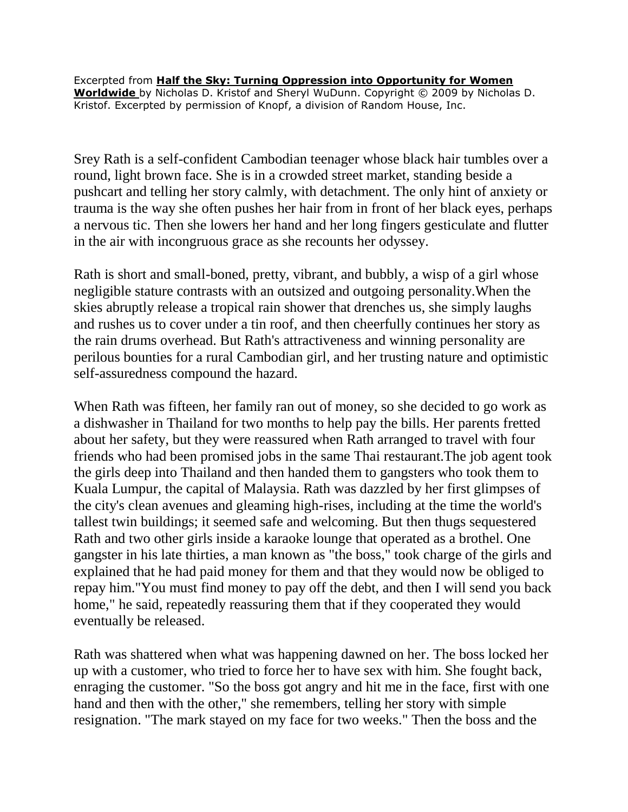Excerpted from **[Half the Sky: Turning Oppression into Opportunity for Women](http://www.amazon.com/exec/obidos/ISBN=0307267148/feministcomA/)  [Worldwide](http://www.amazon.com/exec/obidos/ISBN=0307267148/feministcomA/)** by Nicholas D. Kristof and Sheryl WuDunn. Copyright © 2009 by Nicholas D. Kristof. Excerpted by permission of Knopf, a division of Random House, Inc.

Srey Rath is a self-confident Cambodian teenager whose black hair tumbles over a round, light brown face. She is in a crowded street market, standing beside a pushcart and telling her story calmly, with detachment. The only hint of anxiety or trauma is the way she often pushes her hair from in front of her black eyes, perhaps a nervous tic. Then she lowers her hand and her long fingers gesticulate and flutter in the air with incongruous grace as she recounts her odyssey.

Rath is short and small-boned, pretty, vibrant, and bubbly, a wisp of a girl whose negligible stature contrasts with an outsized and outgoing personality.When the skies abruptly release a tropical rain shower that drenches us, she simply laughs and rushes us to cover under a tin roof, and then cheerfully continues her story as the rain drums overhead. But Rath's attractiveness and winning personality are perilous bounties for a rural Cambodian girl, and her trusting nature and optimistic self-assuredness compound the hazard.

When Rath was fifteen, her family ran out of money, so she decided to go work as a dishwasher in Thailand for two months to help pay the bills. Her parents fretted about her safety, but they were reassured when Rath arranged to travel with four friends who had been promised jobs in the same Thai restaurant.The job agent took the girls deep into Thailand and then handed them to gangsters who took them to Kuala Lumpur, the capital of Malaysia. Rath was dazzled by her first glimpses of the city's clean avenues and gleaming high-rises, including at the time the world's tallest twin buildings; it seemed safe and welcoming. But then thugs sequestered Rath and two other girls inside a karaoke lounge that operated as a brothel. One gangster in his late thirties, a man known as "the boss," took charge of the girls and explained that he had paid money for them and that they would now be obliged to repay him."You must find money to pay off the debt, and then I will send you back home," he said, repeatedly reassuring them that if they cooperated they would eventually be released.

Rath was shattered when what was happening dawned on her. The boss locked her up with a customer, who tried to force her to have sex with him. She fought back, enraging the customer. "So the boss got angry and hit me in the face, first with one hand and then with the other," she remembers, telling her story with simple resignation. "The mark stayed on my face for two weeks." Then the boss and the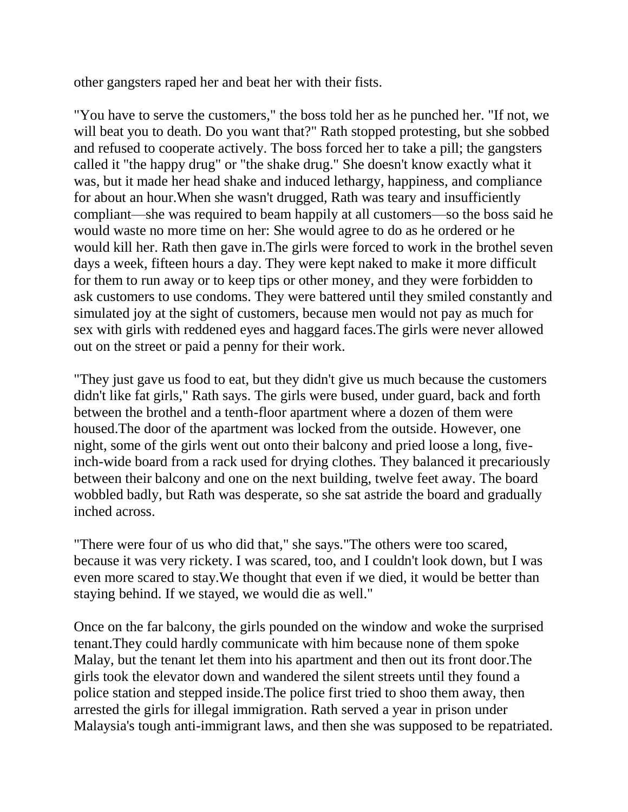other gangsters raped her and beat her with their fists.

"You have to serve the customers," the boss told her as he punched her. "If not, we will beat you to death. Do you want that?" Rath stopped protesting, but she sobbed and refused to cooperate actively. The boss forced her to take a pill; the gangsters called it "the happy drug" or "the shake drug." She doesn't know exactly what it was, but it made her head shake and induced lethargy, happiness, and compliance for about an hour.When she wasn't drugged, Rath was teary and insufficiently compliant—she was required to beam happily at all customers—so the boss said he would waste no more time on her: She would agree to do as he ordered or he would kill her. Rath then gave in.The girls were forced to work in the brothel seven days a week, fifteen hours a day. They were kept naked to make it more difficult for them to run away or to keep tips or other money, and they were forbidden to ask customers to use condoms. They were battered until they smiled constantly and simulated joy at the sight of customers, because men would not pay as much for sex with girls with reddened eyes and haggard faces.The girls were never allowed out on the street or paid a penny for their work.

"They just gave us food to eat, but they didn't give us much because the customers didn't like fat girls," Rath says. The girls were bused, under guard, back and forth between the brothel and a tenth-floor apartment where a dozen of them were housed.The door of the apartment was locked from the outside. However, one night, some of the girls went out onto their balcony and pried loose a long, fiveinch-wide board from a rack used for drying clothes. They balanced it precariously between their balcony and one on the next building, twelve feet away. The board wobbled badly, but Rath was desperate, so she sat astride the board and gradually inched across.

"There were four of us who did that," she says."The others were too scared, because it was very rickety. I was scared, too, and I couldn't look down, but I was even more scared to stay.We thought that even if we died, it would be better than staying behind. If we stayed, we would die as well."

Once on the far balcony, the girls pounded on the window and woke the surprised tenant.They could hardly communicate with him because none of them spoke Malay, but the tenant let them into his apartment and then out its front door.The girls took the elevator down and wandered the silent streets until they found a police station and stepped inside.The police first tried to shoo them away, then arrested the girls for illegal immigration. Rath served a year in prison under Malaysia's tough anti-immigrant laws, and then she was supposed to be repatriated.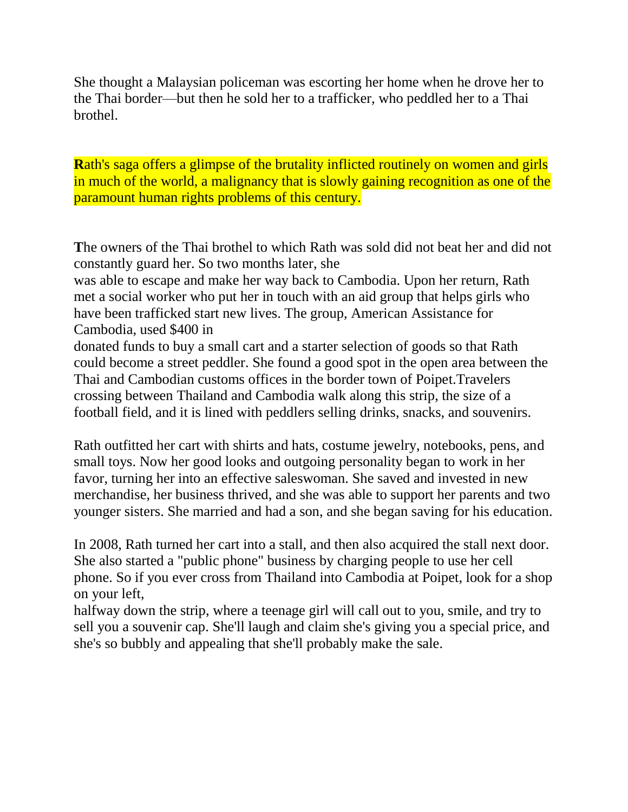She thought a Malaysian policeman was escorting her home when he drove her to the Thai border—but then he sold her to a trafficker, who peddled her to a Thai brothel.

**R**ath's saga offers a glimpse of the brutality inflicted routinely on women and girls in much of the world, a malignancy that is slowly gaining recognition as one of the paramount human rights problems of this century.

**T**he owners of the Thai brothel to which Rath was sold did not beat her and did not constantly guard her. So two months later, she

was able to escape and make her way back to Cambodia. Upon her return, Rath met a social worker who put her in touch with an aid group that helps girls who have been trafficked start new lives. The group, American Assistance for Cambodia, used \$400 in

donated funds to buy a small cart and a starter selection of goods so that Rath could become a street peddler. She found a good spot in the open area between the Thai and Cambodian customs offices in the border town of Poipet.Travelers crossing between Thailand and Cambodia walk along this strip, the size of a football field, and it is lined with peddlers selling drinks, snacks, and souvenirs.

Rath outfitted her cart with shirts and hats, costume jewelry, notebooks, pens, and small toys. Now her good looks and outgoing personality began to work in her favor, turning her into an effective saleswoman. She saved and invested in new merchandise, her business thrived, and she was able to support her parents and two younger sisters. She married and had a son, and she began saving for his education.

In 2008, Rath turned her cart into a stall, and then also acquired the stall next door. She also started a "public phone" business by charging people to use her cell phone. So if you ever cross from Thailand into Cambodia at Poipet, look for a shop on your left,

halfway down the strip, where a teenage girl will call out to you, smile, and try to sell you a souvenir cap. She'll laugh and claim she's giving you a special price, and she's so bubbly and appealing that she'll probably make the sale.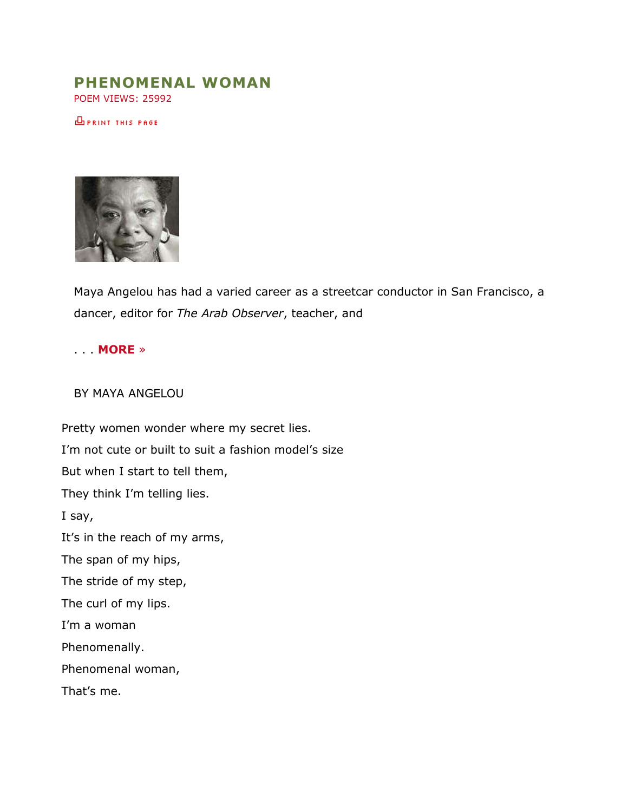## **PHENOMENAL WOMAN** POEM VIEWS: 25992

**LEPRINT THIS PAGE** 



Maya Angelou has had a varied career as a streetcar conductor in San Francisco, a dancer, editor for *The Arab Observer*, teacher, and

## . . . **[MORE](http://www.poetryoutloud.org/poems/poet.html?id=180)** »

## BY MAYA ANGELOU

Pretty women wonder where my secret lies. I'm not cute or built to suit a fashion model's size But when I start to tell them, They think I'm telling lies. I say, It's in the reach of my arms, The span of my hips, The stride of my step, The curl of my lips. I'm a woman Phenomenally. Phenomenal woman, That's me.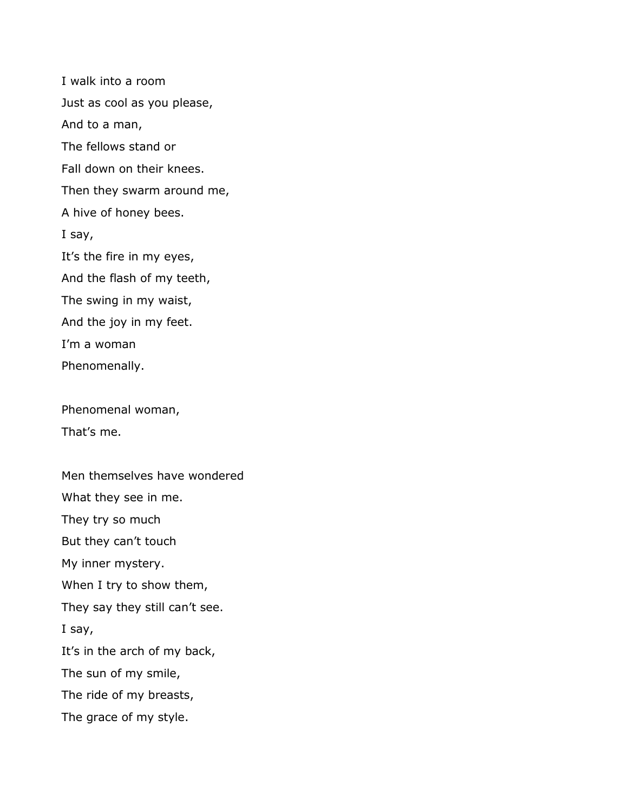I walk into a room Just as cool as you please, And to a man, The fellows stand or Fall down on their knees. Then they swarm around me, A hive of honey bees. I say, It's the fire in my eyes, And the flash of my teeth, The swing in my waist, And the joy in my feet. I'm a woman Phenomenally.

Phenomenal woman, That's me.

Men themselves have wondered What they see in me. They try so much But they can't touch My inner mystery. When I try to show them, They say they still can't see. I say, It's in the arch of my back, The sun of my smile, The ride of my breasts, The grace of my style.